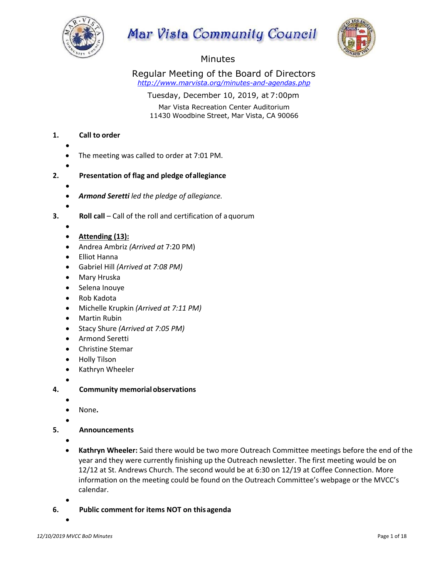

# Mar Vista Community Council



## Minutes

Regular Meeting of the Board of Directors *http://www.marvista.org/minutes-and-agendas.php*

Tuesday, December 10, 2019, at 7:00pm

Mar Vista Recreation Center Auditorium 11430 Woodbine Street, Mar Vista, CA 90066

## **1. Call to order**

- •
- The meeting was called to order at 7:01 PM.
- •
- **2. Presentation of flag and pledge ofallegiance**
	- - *Armond Seretti led the pledge of allegiance.*
	- •

- **3. Roll call** Call of the roll and certification of a quorum
	-
- **Attending (13):**
- Andrea Ambriz *(Arrived at* 7:20 PM)
- Elliot Hanna
- Gabriel Hill *(Arrived at 7:08 PM)*
- Mary Hruska
- Selena Inouye
- Rob Kadota
- Michelle Krupkin *(Arrived at 7:11 PM)*
- Martin Rubin
- Stacy Shure *(Arrived at 7:05 PM)*
- Armond Seretti
- Christine Stemar
- Holly Tilson
- Kathryn Wheeler
- •
- **4. Community memorialobservations**
	- •
	- None**.**
	- •
- **5. Announcements**
	- •
	- **Kathryn Wheeler:** Said there would be two more Outreach Committee meetings before the end of the year and they were currently finishing up the Outreach newsletter. The first meeting would be on 12/12 at St. Andrews Church. The second would be at 6:30 on 12/19 at Coffee Connection. More information on the meeting could be found on the Outreach Committee's webpage or the MVCC's calendar.
	- •
- **6. Public comment for items NOT on thisagenda**
	- •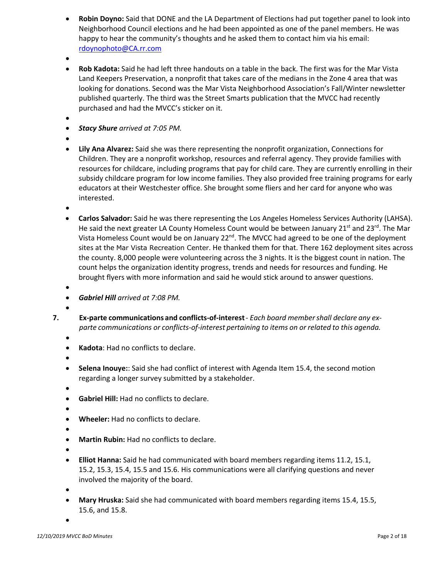- **Robin Doyno:** Said that DONE and the LA Department of Elections had put together panel to look into Neighborhood Council elections and he had been appointed as one of the panel members. He was happy to hear the community's thoughts and he asked them to contact him via his email: rdoynophoto@CA.rr.com
- •
- **Rob Kadota:** Said he had left three handouts on a table in the back. The first was for the Mar Vista Land Keepers Preservation, a nonprofit that takes care of the medians in the Zone 4 area that was looking for donations. Second was the Mar Vista Neighborhood Association's Fall/Winter newsletter published quarterly. The third was the Street Smarts publication that the MVCC had recently purchased and had the MVCC's sticker on it.
- •
- *Stacy Shure arrived at 7:05 PM.*
- •
- **Lily Ana Alvarez:** Said she was there representing the nonprofit organization, Connections for Children. They are a nonprofit workshop, resources and referral agency. They provide families with resources for childcare, including programs that pay for child care. They are currently enrolling in their subsidy childcare program for low income families. They also provided free training programs for early educators at their Westchester office. She brought some fliers and her card for anyone who was interested.
- •
- **Carlos Salvador:** Said he was there representing the Los Angeles Homeless Services Authority (LAHSA). He said the next greater LA County Homeless Count would be between January 21<sup>st</sup> and 23<sup>rd</sup>. The Mar Vista Homeless Count would be on January 22<sup>nd</sup>. The MVCC had agreed to be one of the deployment sites at the Mar Vista Recreation Center. He thanked them for that. There 162 deployment sites across the county. 8,000 people were volunteering across the 3 nights. It is the biggest count in nation. The count helps the organization identity progress, trends and needs for resources and funding. He brought flyers with more information and said he would stick around to answer questions.
- - *Gabriel Hill arrived at 7:08 PM.*
- •
- **7. Ex-parte communications and conflicts-of-interest** *Each board membershall declare any exparte communications or conflicts-of-interest pertaining to items on or related to this agenda.*
	- •
	- **Kadota**: Had no conflicts to declare.
	- •
	- **Selena Inouye:**: Said she had conflict of interest with Agenda Item 15.4, the second motion regarding a longer survey submitted by a stakeholder.
	- •
	- **Gabriel Hill:** Had no conflicts to declare.
	- •
	- **Wheeler:** Had no conflicts to declare.
	- •
	- **Martin Rubin:** Had no conflicts to declare.
	- •
	- **Elliot Hanna:** Said he had communicated with board members regarding items 11.2, 15.1, 15.2, 15.3, 15.4, 15.5 and 15.6. His communications were all clarifying questions and never involved the majority of the board.
	- •
	- **Mary Hruska:** Said she had communicated with board members regarding items 15.4, 15.5, 15.6, and 15.8.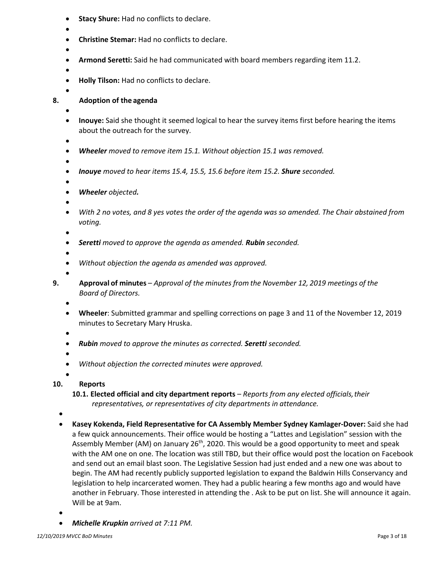- **Stacy Shure:** Had no conflicts to declare.
- •
- **Christine Stemar:** Had no conflicts to declare.
- •
- **Armond Seretti:** Said he had communicated with board members regarding item 11.2.
- •
- **Holly Tilson:** Had no conflicts to declare.
- •

## **8. Adoption of the agenda**

- - **Inouye:** Said she thought it seemed logical to hear the survey items first before hearing the items about the outreach for the survey.
	- •
	- *Wheeler moved to remove item 15.1. Without objection 15.1 was removed.*
	- •
	- *Inouye moved to hear items 15.4, 15.5, 15.6 before item 15.2. Shure seconded.*
	- •
	- *Wheeler objected.*
	- •
	- *With 2 no votes, and 8 yes votes the order of the agenda was so amended. The Chair abstained from voting.*
	- •
	- *Seretti moved to approve the agenda as amended. Rubin seconded.*
	- •
	- *Without objection the agenda as amended was approved.*
- •
- **9. Approval of minutes** *Approval of the minutes from the November 12, 2019 meetings of the Board of Directors.*
	- •
	- **Wheeler**: Submitted grammar and spelling corrections on page 3 and 11 of the November 12, 2019 minutes to Secretary Mary Hruska.
	- •
	- *Rubin moved to approve the minutes as corrected. Seretti seconded.*
	- •
	- *Without objection the corrected minutes were approved.*
	- •

## **10. Reports**

**10.1. Elected official and city department reports** – *Reports from any elected officials,their representatives, or representatives of city departments in attendance.*

- **Kasey Kokenda, Field Representative for CA Assembly Member Sydney Kamlager-Dover:** Said she had a few quick announcements. Their office would be hosting a "Lattes and Legislation" session with the Assembly Member (AM) on January  $26<sup>th</sup>$ , 2020. This would be a good opportunity to meet and speak with the AM one on one. The location was still TBD, but their office would post the location on Facebook and send out an email blast soon. The Legislative Session had just ended and a new one was about to begin. The AM had recently publicly supported legislation to expand the Baldwin Hills Conservancy and legislation to help incarcerated women. They had a public hearing a few months ago and would have another in February. Those interested in attending the . Ask to be put on list. She will announce it again. Will be at 9am.
- •
- *Michelle Krupkin arrived at 7:11 PM.*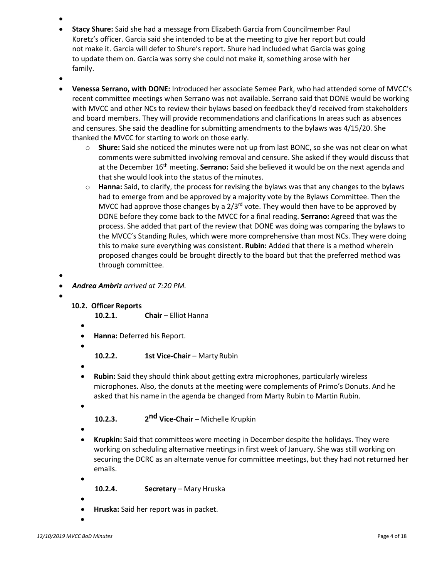- •
- **Stacy Shure:** Said she had a message from Elizabeth Garcia from Councilmember Paul Koretz's officer. Garcia said she intended to be at the meeting to give her report but could not make it. Garcia will defer to Shure's report. Shure had included what Garcia was going to update them on. Garcia was sorry she could not make it, something arose with her family.
- •
- **Venessa Serrano, with DONE:** Introduced her associate Semee Park, who had attended some of MVCC's recent committee meetings when Serrano was not available. Serrano said that DONE would be working with MVCC and other NCs to review their bylaws based on feedback they'd received from stakeholders and board members. They will provide recommendations and clarifications In areas such as absences and censures. She said the deadline for submitting amendments to the bylaws was 4/15/20. She thanked the MVCC for starting to work on those early.
	- o **Shure:** Said she noticed the minutes were not up from last BONC, so she was not clear on what comments were submitted involving removal and censure. She asked if they would discuss that at the December 16<sup>th</sup> meeting. **Serrano:** Said she believed it would be on the next agenda and that she would look into the status of the minutes.
	- o **Hanna:** Said, to clarify, the process for revising the bylaws was that any changes to the bylaws had to emerge from and be approved by a majority vote by the Bylaws Committee. Then the MVCC had approve those changes by a  $2/3<sup>rd</sup>$  vote. They would then have to be approved by DONE before they come back to the MVCC for a final reading. **Serrano:** Agreed that was the process. She added that part of the review that DONE was doing was comparing the bylaws to the MVCC's Standing Rules, which were more comprehensive than most NCs. They were doing this to make sure everything was consistent. **Rubin:** Added that there is a method wherein proposed changes could be brought directly to the board but that the preferred method was through committee.
- - *Andrea Ambriz arrived at 7:20 PM.*
- •

## **10.2. Officer Reports**

10.2.1. **Chair** – Elliot Hanna

- •
- **Hanna:** Deferred his Report.
- •
- **10.2.2. 1st Vice-Chair Marty Rubin**
- •
- **Rubin:** Said they should think about getting extra microphones, particularly wireless microphones. Also, the donuts at the meeting were complements of Primo's Donuts. And he asked that his name in the agenda be changed from Marty Rubin to Martin Rubin.
- •

**10.2.3. 2nd Vice-Chair** – Michelle Krupkin

- •
- **Krupkin:** Said that committees were meeting in December despite the holidays. They were working on scheduling alternative meetings in first week of January. She was still working on securing the DCRC as an alternate venue for committee meetings, but they had not returned her emails.

**10.2.4. Secretary** – Mary Hruska

•

- **Hruska:** Said her report was in packet.
- •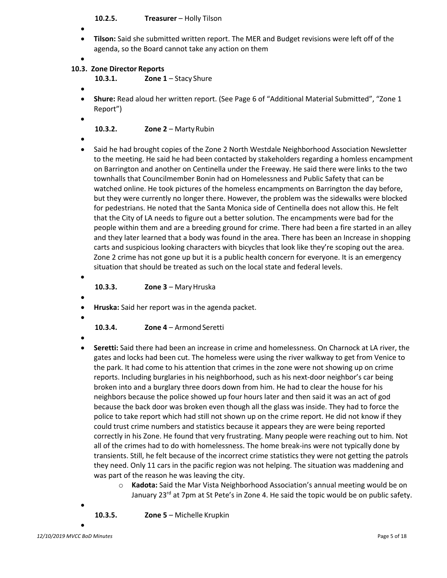**10.2.5. Treasurer** – Holly Tilson

- •
- **Tilson:** Said she submitted written report. The MER and Budget revisions were left off of the agenda, so the Board cannot take any action on them

#### • **10.3. Zone Director Reports**

**10.3.1. Zone 1** – Stacy Shure

•

•

- **Shure:** Read aloud her written report. (See Page 6 of "Additional Material Submitted", "Zone 1 Report")
	- **10.3.2. Zone 2**  MartyRubin
- • Said he had brought copies of the Zone 2 North Westdale Neighborhood Association Newsletter to the meeting. He said he had been contacted by stakeholders regarding a homless encampment on Barrington and another on Centinella under the Freeway. He said there were links to the two townhalls that Councilmember Bonin had on Homelessness and Public Safety that can be watched online. He took pictures of the homeless encampments on Barrington the day before, but they were currently no longer there. However, the problem was the sidewalks were blocked for pedestrians. He noted that the Santa Monica side of Centinella does not allow this. He felt that the City of LA needs to figure out a better solution. The encampments were bad for the people within them and are a breeding ground for crime. There had been a fire started in an alley and they later learned that a body was found in the area. There has been an Increase in shopping carts and suspicious looking characters with bicycles that look like they're scoping out the area. Zone 2 crime has not gone up but it is a public health concern for everyone. It is an emergency situation that should be treated as such on the local state and federal levels.
	- •

**10.3.3. Zone 3** – MaryHruska

- **Hruska:** Said her report was in the agenda packet.
- •

•

**10.3.4. Zone 4** – Armond Seretti

- •
- **Seretti:** Said there had been an increase in crime and homelessness. On Charnock at LA river, the gates and locks had been cut. The homeless were using the river walkway to get from Venice to the park. It had come to his attention that crimes in the zone were not showing up on crime reports. Including burglaries in his neighborhood, such as his next-door neighbor's car being broken into and a burglary three doors down from him. He had to clear the house for his neighbors because the police showed up four hours later and then said it was an act of god because the back door was broken even though all the glass was inside. They had to force the police to take report which had still not shown up on the crime report. He did not know if they could trust crime numbers and statistics because it appears they are were being reported correctly in his Zone. He found that very frustrating. Many people were reaching out to him. Not all of the crimes had to do with homelessness. The home break-ins were not typically done by transients. Still, he felt because of the incorrect crime statistics they were not getting the patrols they need. Only 11 cars in the pacific region was not helping. The situation was maddening and was part of the reason he was leaving the city.
	- o **Kadota:** Said the Mar Vista Neighborhood Association's annual meeting would be on January 23<sup>rd</sup> at 7pm at St Pete's in Zone 4. He said the topic would be on public safety.

**10.3.5. Zone 5** – Michelle Krupkin

•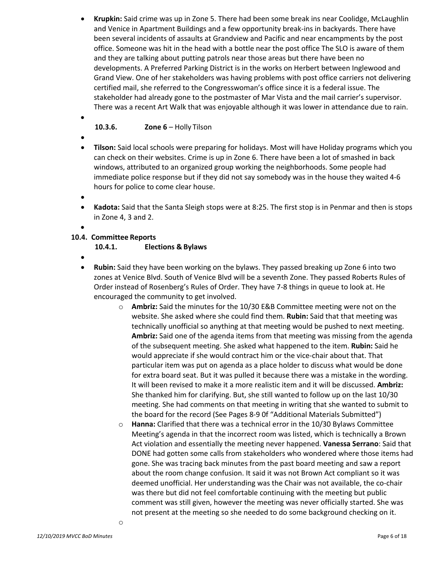- **Krupkin:** Said crime was up in Zone 5. There had been some break ins near Coolidge, McLaughlin and Venice in Apartment Buildings and a few opportunity break-ins in backyards. There have been several incidents of assaults at Grandview and Pacific and near encampments by the post office. Someone was hit in the head with a bottle near the post office The SLO is aware of them and they are talking about putting patrols near those areas but there have been no developments. A Preferred Parking District is in the works on Herbert between Inglewood and Grand View. One of her stakeholders was having problems with post office carriers not delivering certified mail, she referred to the Congresswoman's office since it is a federal issue. The stakeholder had already gone to the postmaster of Mar Vista and the mail carrier's supervisor. There was a recent Art Walk that was enjoyable although it was lower in attendance due to rain.
	- **10.3.6. Zone 6**  Holly Tilson
- •

•

- **Tilson:** Said local schools were preparing for holidays. Most will have Holiday programs which you can check on their websites. Crime is up in Zone 6. There have been a lot of smashed in back windows, attributed to an organized group working the neighborhoods. Some people had immediate police response but if they did not say somebody was in the house they waited 4-6 hours for police to come clear house.
- •
- **Kadota:** Said that the Santa Sleigh stops were at 8:25. The first stop is in Penmar and then is stops in Zone 4, 3 and 2.
- •

## **10.4. Committee Reports**

## **10.4.1. Elections & Bylaws**

- •
- **Rubin:** Said they have been working on the bylaws. They passed breaking up Zone 6 into two zones at Venice Blvd. South of Venice Blvd will be a seventh Zone. They passed Roberts Rules of Order instead of Rosenberg's Rules of Order. They have 7-8 things in queue to look at. He encouraged the community to get involved.
	- o **Ambriz:** Said the minutes for the 10/30 E&B Committee meeting were not on the website. She asked where she could find them. **Rubin:** Said that that meeting was technically unofficial so anything at that meeting would be pushed to next meeting. **Ambriz:** Said one of the agenda items from that meeting was missing from the agenda of the subsequent meeting. She asked what happened to the item. **Rubin:** Said he would appreciate if she would contract him or the vice-chair about that. That particular item was put on agenda as a place holder to discuss what would be done for extra board seat. But it was pulled it because there was a mistake in the wording. It will been revised to make it a more realistic item and it will be discussed. **Ambriz:** She thanked him for clarifying. But, she still wanted to follow up on the last 10/30 meeting. She had comments on that meeting in writing that she wanted to submit to the board for the record (See Pages 8-9 0f "Additional Materials Submitted")
	- o **Hanna:** Clarified that there was a technical error in the 10/30 Bylaws Committee Meeting's agenda in that the incorrect room was listed, which is technically a Brown Act violation and essentially the meeting never happened. **Vanessa Serrano**: Said that DONE had gotten some calls from stakeholders who wondered where those items had gone. She was tracing back minutes from the past board meeting and saw a report about the room change confusion. It said it was not Brown Act compliant so it was deemed unofficial. Her understanding was the Chair was not available, the co-chair was there but did not feel comfortable continuing with the meeting but public comment was still given, however the meeting was never officially started. She was not present at the meeting so she needed to do some background checking on it.

o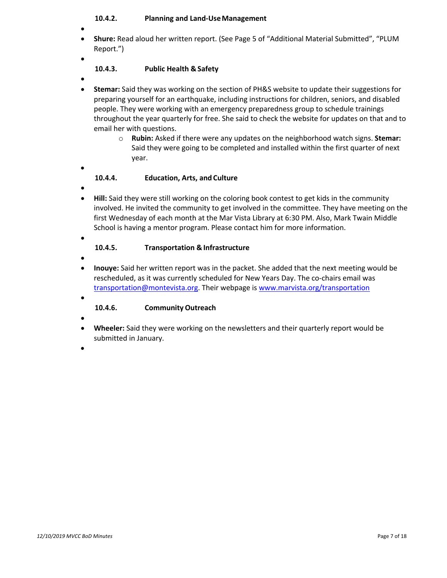#### **10.4.2. Planning and Land-UseManagement**

- •
- **Shure:** Read aloud her written report. (See Page 5 of "Additional Material Submitted", "PLUM Report.")
- •

## **10.4.3. Public Health & Safety**

•

• **Stemar:** Said they was working on the section of PH&S website to update their suggestions for preparing yourself for an earthquake, including instructions for children, seniors, and disabled people. They were working with an emergency preparedness group to schedule trainings throughout the year quarterly for free. She said to check the website for updates on that and to email her with questions.

> o **Rubin:** Asked if there were any updates on the neighborhood watch signs. **Stemar:**  Said they were going to be completed and installed within the first quarter of next year.

## **10.4.4. Education, Arts, and Culture**

•

•

• **Hill:** Said they were still working on the coloring book contest to get kids in the community involved. He invited the community to get involved in the committee. They have meeting on the first Wednesday of each month at the Mar Vista Library at 6:30 PM. Also, Mark Twain Middle School is having a mentor program. Please contact him for more information.

•

#### **10.4.5. Transportation &Infrastructure**

- •
- **Inouye:** Said her written report was in the packet. She added that the next meeting would be rescheduled, as it was currently scheduled for New Years Day. The co-chairs email was transportation@montevista.org. Their webpage is www.marvista.org/transportation
- •

## **10.4.6. Community Outreach**

- •
- **Wheeler:** Said they were working on the newsletters and their quarterly report would be submitted in January.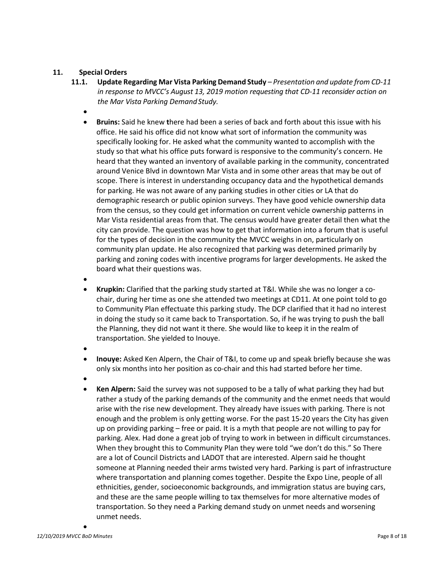#### **11. Special Orders**

- **11.1. Update Regarding Mar Vista Parking Demand Study** *Presentation and update from CD-11 in response to MVCC's August 13, 2019 motion requesting that CD-11 reconsider action on the Mar Vista Parking DemandStudy.*
	- •
	- **Bruins:** Said he knew **t**here had been a series of back and forth about this issue with his office. He said his office did not know what sort of information the community was specifically looking for. He asked what the community wanted to accomplish with the study so that what his office puts forward is responsive to the community's concern. He heard that they wanted an inventory of available parking in the community, concentrated around Venice Blvd in downtown Mar Vista and in some other areas that may be out of scope. There is interest in understanding occupancy data and the hypothetical demands for parking. He was not aware of any parking studies in other cities or LA that do demographic research or public opinion surveys. They have good vehicle ownership data from the census, so they could get information on current vehicle ownership patterns in Mar Vista residential areas from that. The census would have greater detail then what the city can provide. The question was how to get that information into a forum that is useful for the types of decision in the community the MVCC weighs in on, particularly on community plan update. He also recognized that parking was determined primarily by parking and zoning codes with incentive programs for larger developments. He asked the board what their questions was.
	- •
	- **Krupkin:** Clarified that the parking study started at T&I. While she was no longer a cochair, during her time as one she attended two meetings at CD11. At one point told to go to Community Plan effectuate this parking study. The DCP clarified that it had no interest in doing the study so it came back to Transportation. So, if he was trying to push the ball the Planning, they did not want it there. She would like to keep it in the realm of transportation. She yielded to Inouye.
	- •
	- **Inouye:** Asked Ken Alpern, the Chair of T&I, to come up and speak briefly because she was only six months into her position as co-chair and this had started before her time.
	- •
	- **Ken Alpern:** Said the survey was not supposed to be a tally of what parking they had but rather a study of the parking demands of the community and the enmet needs that would arise with the rise new development. They already have issues with parking. There is not enough and the problem is only getting worse. For the past 15-20 years the City has given up on providing parking – free or paid. It is a myth that people are not willing to pay for parking. Alex. Had done a great job of trying to work in between in difficult circumstances. When they brought this to Community Plan they were told "we don't do this." So There are a lot of Council Districts and LADOT that are interested. Alpern said he thought someone at Planning needed their arms twisted very hard. Parking is part of infrastructure where transportation and planning comes together. Despite the Expo Line, people of all ethnicities, gender, socioeconomic backgrounds, and immigration status are buying cars, and these are the same people willing to tax themselves for more alternative modes of transportation. So they need a Parking demand study on unmet needs and worsening unmet needs.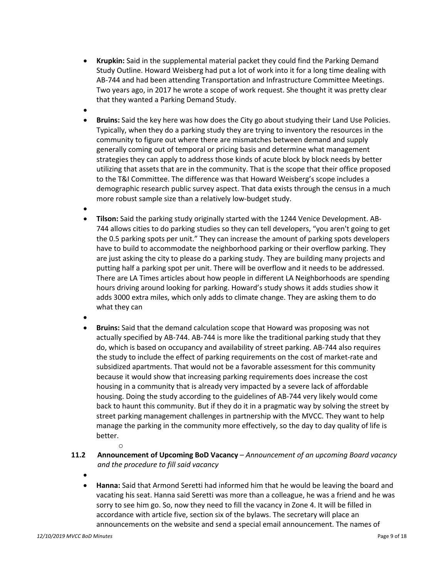- **Krupkin:** Said in the supplemental material packet they could find the Parking Demand Study Outline. Howard Weisberg had put a lot of work into it for a long time dealing with AB-744 and had been attending Transportation and Infrastructure Committee Meetings. Two years ago, in 2017 he wrote a scope of work request. She thought it was pretty clear that they wanted a Parking Demand Study.
- •
- **Bruins:** Said the key here was how does the City go about studying their Land Use Policies. Typically, when they do a parking study they are trying to inventory the resources in the community to figure out where there are mismatches between demand and supply generally coming out of temporal or pricing basis and determine what management strategies they can apply to address those kinds of acute block by block needs by better utilizing that assets that are in the community. That is the scope that their office proposed to the T&I Committee. The difference was that Howard Weisberg's scope includes a demographic research public survey aspect. That data exists through the census in a much more robust sample size than a relatively low-budget study.
- •
- **Tilson:** Said the parking study originally started with the 1244 Venice Development. AB-744 allows cities to do parking studies so they can tell developers, "you aren't going to get the 0.5 parking spots per unit." They can increase the amount of parking spots developers have to build to accommodate the neighborhood parking or their overflow parking. They are just asking the city to please do a parking study. They are building many projects and putting half a parking spot per unit. There will be overflow and it needs to be addressed. There are LA Times articles about how people in different LA Neighborhoods are spending hours driving around looking for parking. Howard's study shows it adds studies show it adds 3000 extra miles, which only adds to climate change. They are asking them to do what they can
- •
- **Bruins:** Said that the demand calculation scope that Howard was proposing was not actually specified by AB-744. AB-744 is more like the traditional parking study that they do, which is based on occupancy and availability of street parking. AB-744 also requires the study to include the effect of parking requirements on the cost of market-rate and subsidized apartments. That would not be a favorable assessment for this community because it would show that increasing parking requirements does increase the cost housing in a community that is already very impacted by a severe lack of affordable housing. Doing the study according to the guidelines of AB-744 very likely would come back to haunt this community. But if they do it in a pragmatic way by solving the street by street parking management challenges in partnership with the MVCC. They want to help manage the parking in the community more effectively, so the day to day quality of life is better.
- o **11.2 Announcement of Upcoming BoD Vacancy** – *Announcement of an upcoming Board vacancy and the procedure to fill said vacancy*
	- •
	- **Hanna:** Said that Armond Seretti had informed him that he would be leaving the board and vacating his seat. Hanna said Seretti was more than a colleague, he was a friend and he was sorry to see him go. So, now they need to fill the vacancy in Zone 4. It will be filled in accordance with article five, section six of the bylaws. The secretary will place an announcements on the website and send a special email announcement. The names of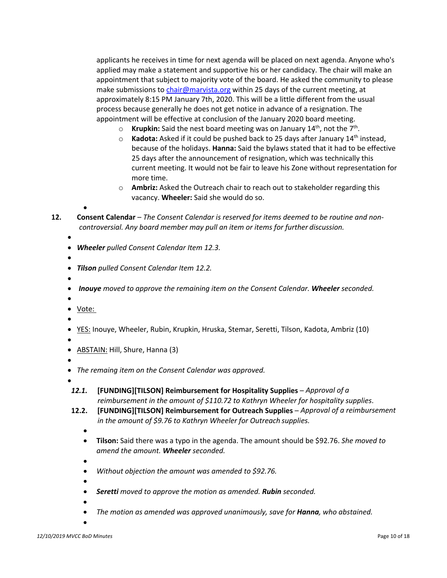applicants he receives in time for next agenda will be placed on next agenda. Anyone who's applied may make a statement and supportive his or her candidacy. The chair will make an appointment that subject to majority vote of the board. He asked the community to please make submissions to chair@marvista.org within 25 days of the current meeting, at approximately 8:15 PM January 7th, 2020. This will be a little different from the usual process because generally he does not get notice in advance of a resignation. The appointment will be effective at conclusion of the January 2020 board meeting.

- o **Krupkin:** Said the nest board meeting was on January 14th, not the 7th.
- o **Kadota:** Asked if it could be pushed back to 25 days after January 14th instead, because of the holidays. **Hanna:** Said the bylaws stated that it had to be effective 25 days after the announcement of resignation, which was technically this current meeting. It would not be fair to leave his Zone without representation for more time.
- o **Ambriz:** Asked the Outreach chair to reach out to stakeholder regarding this vacancy. **Wheeler:** Said she would do so.

**12. Consent Calendar** – *The Consent Calendar is reserved for items deemed to be routine and noncontroversial. Any board member may pull an item or items for further discussion.*

- *Wheeler pulled Consent Calendar Item 12.3.*
- •

•

- *Tilson pulled Consent Calendar Item 12.2.*
- •

• *Inouye moved to approve the remaining item on the Consent Calendar. Wheeler seconded.* 

- •
- Vote:

- •
- YES: Inouye, Wheeler, Rubin, Krupkin, Hruska, Stemar, Seretti, Tilson, Kadota, Ambriz (10)
- •
- ABSTAIN: Hill, Shure, Hanna (3)
- •
- *The remaing item on the Consent Calendar was approved.*
- •
- *12.1.* **[FUNDING][TILSON] Reimbursement for Hospitality Supplies**  *Approval of a reimbursement in the amount of \$110.72 to Kathryn Wheeler for hospitality supplies*.
- **12.2. [FUNDING][TILSON] Reimbursement for Outreach Supplies**  *Approval of a reimbursement in the amount of \$9.76 to Kathryn Wheeler for Outreach supplies.*
	- •
	- **Tilson:** Said there was a typo in the agenda. The amount should be \$92.76. *She moved to amend the amount. Wheeler seconded.*
	- •
	- *Without objection the amount was amended to \$92.76.*
	- • *Seretti moved to approve the motion as amended. Rubin seconded.* 
		-
	- • *The motion as amended was approved unanimously, save for Hanna, who abstained.*
	- •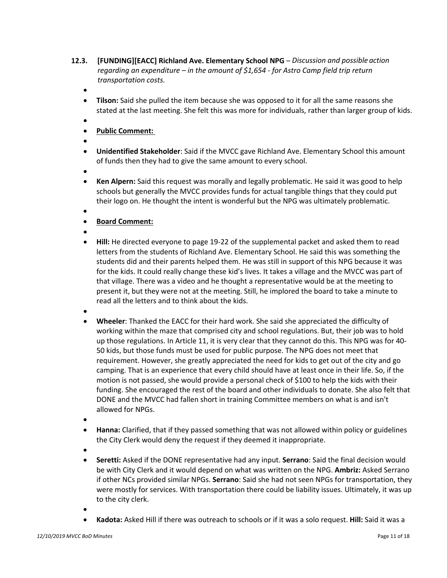- **12.3. [FUNDING][EACC] Richland Ave. Elementary School NPG**  *Discussion and possible action regarding an expenditure – in the amount of \$1,654 - for Astro Camp field trip return transportation costs.*
	- •
	- **Tilson:** Said she pulled the item because she was opposed to it for all the same reasons she stated at the last meeting. She felt this was more for individuals, rather than larger group of kids.
	- •
	- **Public Comment:**
	- •
	- **Unidentified Stakeholder**: Said if the MVCC gave Richland Ave. Elementary School this amount of funds then they had to give the same amount to every school.
	- •
	- **Ken Alpern:** Said this request was morally and legally problematic. He said it was good to help schools but generally the MVCC provides funds for actual tangible things that they could put their logo on. He thought the intent is wonderful but the NPG was ultimately problematic.
	- •
	- **Board Comment:**
	- •
	- **Hill:** He directed everyone to page 19-22 of the supplemental packet and asked them to read letters from the students of Richland Ave. Elementary School. He said this was something the students did and their parents helped them. He was still in support of this NPG because it was for the kids. It could really change these kid's lives. It takes a village and the MVCC was part of that village. There was a video and he thought a representative would be at the meeting to present it, but they were not at the meeting. Still, he implored the board to take a minute to read all the letters and to think about the kids.
	- •
	- **Wheeler**: Thanked the EACC for their hard work. She said she appreciated the difficulty of working within the maze that comprised city and school regulations. But, their job was to hold up those regulations. In Article 11, it is very clear that they cannot do this. This NPG was for 40- 50 kids, but those funds must be used for public purpose. The NPG does not meet that requirement. However, she greatly appreciated the need for kids to get out of the city and go camping. That is an experience that every child should have at least once in their life. So, if the motion is not passed, she would provide a personal check of \$100 to help the kids with their funding. She encouraged the rest of the board and other individuals to donate. She also felt that DONE and the MVCC had fallen short in training Committee members on what is and isn't allowed for NPGs.
	- •
	- **Hanna:** Clarified, that if they passed something that was not allowed within policy or guidelines the City Clerk would deny the request if they deemed it inappropriate.
	- •
	- **Seretti:** Asked if the DONE representative had any input. **Serrano**: Said the final decision would be with City Clerk and it would depend on what was written on the NPG. **Ambriz:** Asked Serrano if other NCs provided similar NPGs. **Serrano**: Said she had not seen NPGs for transportation, they were mostly for services. With transportation there could be liability issues. Ultimately, it was up to the city clerk.
	- •
	- **Kadota:** Asked Hill if there was outreach to schools or if it was a solo request. **Hill:** Said it was a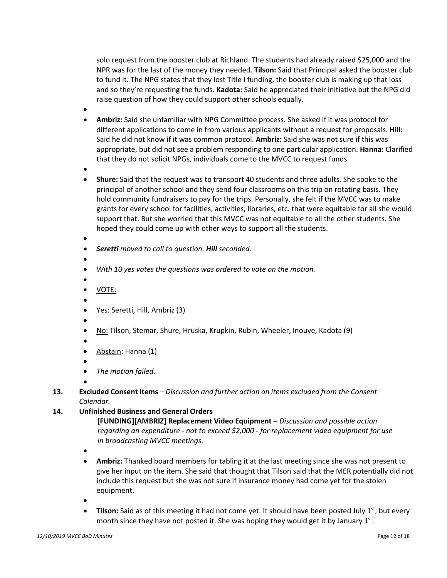solo request from the booster club at Richland. The students had already raised \$25,000 and the NPR was for the last of the money they needed. **Tilson:** Said that Principal asked the booster club to fund it. The NPG states that they lost Title I funding, the booster club is making up that loss and so they're requesting the funds. **Kadota:** Said he appreciated their initiative but the NPG did raise question of how they could support other schools equally.

- •
- **Ambriz:** Said she unfamiliar with NPG Committee process. She asked if it was protocol for different applications to come in from various applicants without a request for proposals. **Hill:** Said he did not know if it was common protocol. **Ambriz**: Said she was not sure if this was appropriate, but did not see a problem responding to one particular application. **Hanna:** Clarified that they do not solicit NPGs, individuals come to the MVCC to request funds.
- •
- **Shure:** Said that the request was to transport 40 students and three adults. She spoke to the principal of another school and they send four classrooms on this trip on rotating basis. They hold community fundraisers to pay for the trips. Personally, she felt if the MVCC was to make grants for every school for facilities, activities, libraries, etc. that were equitable for all she would support that. But she worried that this MVCC was not equitable to all the other students. She hoped they could come up with other ways to support all the students.
- • *Seretti moved to call to question. Hill seconded.*
- •
- *With 10 yes votes the questions was ordered to vote on the motion.*
- •
- VOTE:
- •
- Yes: Seretti, Hill, Ambriz (3)
- •
- No: Tilson, Stemar, Shure, Hruska, Krupkin, Rubin, Wheeler, Inouye, Kadota (9)
- •
- Abstain: Hanna (1)
- •
- *The motion failed.*
- •
- **13. Excluded Consent Items** *Discussion and further action on items excluded from the Consent Calendar.*

## **14. Unfinished Business and General Orders**

**[FUNDING][AMBRIZ] Replacement Video Equipment** – *Discussion and possible action regarding an expenditure - not to exceed \$2,000 - for replacement video equipment for use in broadcasting MVCC meetings.*

- •
- **Ambriz:** Thanked board members for tabling it at the last meeting since she was not present to give her input on the item. She said that thought that Tilson said that the MER potentially did not include this request but she was not sure if insurance money had come yet for the stolen equipment.
- •
- **Tilson:** Said as of this meeting it had not come yet. It should have been posted July 1<sup>st</sup>, but every month since they have not posted it. She was hoping they would get it by January  $1<sup>st</sup>$ .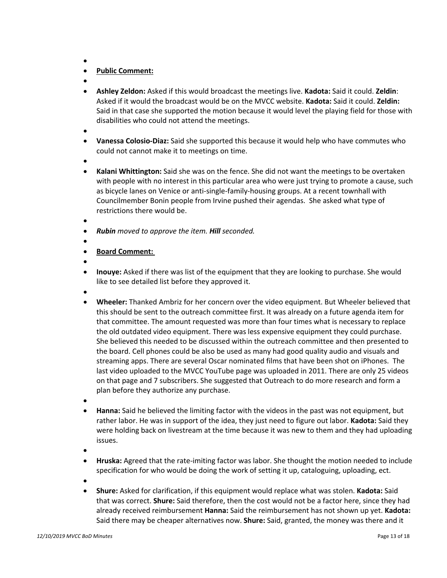- •
- **Public Comment:**
- •
- **Ashley Zeldon:** Asked if this would broadcast the meetings live. **Kadota:** Said it could. **Zeldin**: Asked if it would the broadcast would be on the MVCC website. **Kadota:** Said it could. **Zeldin:** Said in that case she supported the motion because it would level the playing field for those with disabilities who could not attend the meetings.
- •
- **Vanessa Colosio-Diaz:** Said she supported this because it would help who have commutes who could not cannot make it to meetings on time.
- •
- **Kalani Whittington:** Said she was on the fence. She did not want the meetings to be overtaken with people with no interest in this particular area who were just trying to promote a cause, such as bicycle lanes on Venice or anti-single-family-housing groups. At a recent townhall with Councilmember Bonin people from Irvine pushed their agendas. She asked what type of restrictions there would be.
- •
- *Rubin moved to approve the item. Hill seconded.*
- •
- **Board Comment:**
- •
- **Inouye:** Asked if there was list of the equipment that they are looking to purchase. She would like to see detailed list before they approved it.
- •
- **Wheeler:** Thanked Ambriz for her concern over the video equipment. But Wheeler believed that this should be sent to the outreach committee first. It was already on a future agenda item for that committee. The amount requested was more than four times what is necessary to replace the old outdated video equipment. There was less expensive equipment they could purchase. She believed this needed to be discussed within the outreach committee and then presented to the board. Cell phones could be also be used as many had good quality audio and visuals and streaming apps. There are several Oscar nominated films that have been shot on iPhones. The last video uploaded to the MVCC YouTube page was uploaded in 2011. There are only 25 videos on that page and 7 subscribers. She suggested that Outreach to do more research and form a plan before they authorize any purchase.
- •
- **Hanna:** Said he believed the limiting factor with the videos in the past was not equipment, but rather labor. He was in support of the idea, they just need to figure out labor. **Kadota:** Said they were holding back on livestream at the time because it was new to them and they had uploading issues.
- •
- **Hruska:** Agreed that the rate-imiting factor was labor. She thought the motion needed to include specification for who would be doing the work of setting it up, cataloguing, uploading, ect.
- •
- **Shure:** Asked for clarification, if this equipment would replace what was stolen. **Kadota:** Said that was correct. **Shure:** Said therefore, then the cost would not be a factor here, since they had already received reimbursement **Hanna:** Said the reimbursement has not shown up yet. **Kadota:**  Said there may be cheaper alternatives now. **Shure:** Said, granted, the money was there and it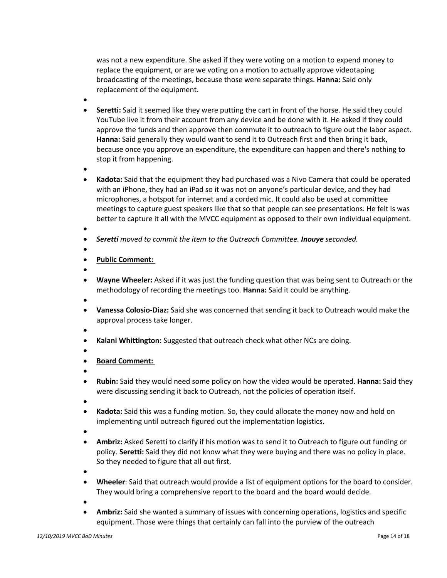was not a new expenditure. She asked if they were voting on a motion to expend money to replace the equipment, or are we voting on a motion to actually approve videotaping broadcasting of the meetings, because those were separate things. **Hanna:** Said only replacement of the equipment.

- •
- **Seretti:** Said it seemed like they were putting the cart in front of the horse. He said they could YouTube live it from their account from any device and be done with it. He asked if they could approve the funds and then approve then commute it to outreach to figure out the labor aspect. **Hanna:** Said generally they would want to send it to Outreach first and then bring it back, because once you approve an expenditure, the expenditure can happen and there's nothing to stop it from happening.
- •
- **Kadota:** Said that the equipment they had purchased was a Nivo Camera that could be operated with an iPhone, they had an iPad so it was not on anyone's particular device, and they had microphones, a hotspot for internet and a corded mic. It could also be used at committee meetings to capture guest speakers like that so that people can see presentations. He felt is was better to capture it all with the MVCC equipment as opposed to their own individual equipment.
- •
- *Seretti moved to commit the item to the Outreach Committee. Inouye seconded.*
- •
- **Public Comment:**
- •
- **Wayne Wheeler:** Asked if it was just the funding question that was being sent to Outreach or the methodology of recording the meetings too. **Hanna:** Said it could be anything.
- •
- **Vanessa Colosio-Diaz:** Said she was concerned that sending it back to Outreach would make the approval process take longer.
- •
- **Kalani Whittington:** Suggested that outreach check what other NCs are doing.
- •
- **Board Comment:**
- •
- **Rubin:** Said they would need some policy on how the video would be operated. **Hanna:** Said they were discussing sending it back to Outreach, not the policies of operation itself.
- •
- **Kadota:** Said this was a funding motion. So, they could allocate the money now and hold on implementing until outreach figured out the implementation logistics.
- •
- **Ambriz:** Asked Seretti to clarify if his motion was to send it to Outreach to figure out funding or policy. **Seretti:** Said they did not know what they were buying and there was no policy in place. So they needed to figure that all out first.
- •
- **Wheeler**: Said that outreach would provide a list of equipment options for the board to consider. They would bring a comprehensive report to the board and the board would decide.
- •
- **Ambriz:** Said she wanted a summary of issues with concerning operations, logistics and specific equipment. Those were things that certainly can fall into the purview of the outreach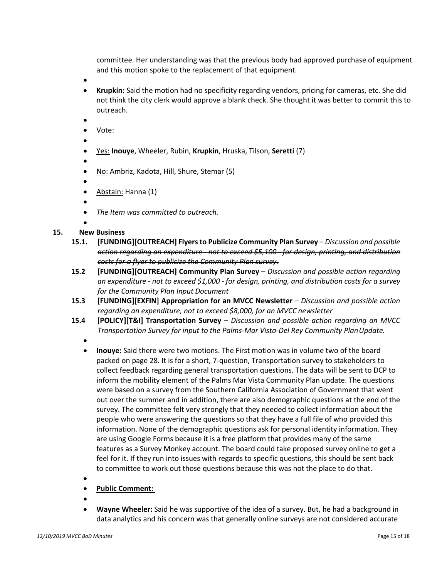committee. Her understanding was that the previous body had approved purchase of equipment and this motion spoke to the replacement of that equipment.

- •
- **Krupkin:** Said the motion had no specificity regarding vendors, pricing for cameras, etc. She did not think the city clerk would approve a blank check. She thought it was better to commit this to outreach.
- •
- Vote:
- • Yes: **Inouye**, Wheeler, Rubin, **Krupkin**, Hruska, Tilson, **Seretti** (7)

•

- No: Ambriz, Kadota, Hill, Shure, Stemar (5)
- •
- Abstain: Hanna (1)
- •
- *The Item was committed to outreach.*
- •

#### **15. New Business**

- **15.1. [FUNDING][OUTREACH] Flyersto Publicize Community Plan Survey** *Discussion and possible action regarding an expenditure - not to exceed \$5,100 - for design, printing, and distribution costs for a flyer to publicize the Community Plan survey.*
- **15.2 [FUNDING][OUTREACH] Community Plan Survey**  *Discussion and possible action regarding an expenditure - not to exceed \$1,000 - for design, printing, and distribution costs for a survey for the Community Plan Input Document*
- **15.3 [FUNDING][EXFIN] Appropriation for an MVCC Newsletter**  *Discussion and possible action regarding an expenditure, not to exceed \$8,000, for an MVCC newsletter*
- **15.4 [POLICY][T&I] Transportation Survey**  *Discussion and possible action regarding an MVCC Transportation Survey for input to the Palms-Mar Vista-Del Rey Community PlanUpdate.*
	- - **Inouye:** Said there were two motions. The First motion was in volume two of the board packed on page 28. It is for a short, 7-question, Transportation survey to stakeholders to collect feedback regarding general transportation questions. The data will be sent to DCP to inform the mobility element of the Palms Mar Vista Community Plan update. The questions were based on a survey from the Southern California Association of Government that went out over the summer and in addition, there are also demographic questions at the end of the survey. The committee felt very strongly that they needed to collect information about the people who were answering the questions so that they have a full file of who provided this information. None of the demographic questions ask for personal identity information. They are using Google Forms because it is a free platform that provides many of the same features as a Survey Monkey account. The board could take proposed survey online to get a feel for it. If they run into issues with regards to specific questions, this should be sent back to committee to work out those questions because this was not the place to do that.
	- •
	- **Public Comment:**
	- •
	- **Wayne Wheeler:** Said he was supportive of the idea of a survey. But, he had a background in data analytics and his concern was that generally online surveys are not considered accurate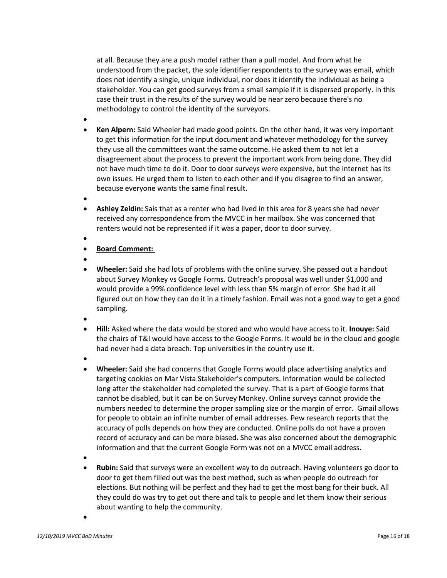at all. Because they are a push model rather than a pull model. And from what he understood from the packet, the sole identifier respondents to the survey was email, which does not identify a single, unique individual, nor does it identify the individual as being a stakeholder. You can get good surveys from a small sample if it is dispersed properly. In this case their trust in the results of the survey would be near zero because there's no methodology to control the identity of the surveyors.

- •
- **Ken Alpern:** Said Wheeler had made good points. On the other hand, it was very important to get this information for the input document and whatever methodology for the survey they use all the committees want the same outcome. He asked them to not let a disagreement about the process to prevent the important work from being done. They did not have much time to do it. Door to door surveys were expensive, but the internet has its own issues. He urged them to listen to each other and if you disagree to find an answer, because everyone wants the same final result.
- •
- **Ashley Zeldin:** Sais that as a renter who had lived in this area for 8 years she had never received any correspondence from the MVCC in her mailbox. She was concerned that renters would not be represented if it was a paper, door to door survey.
- •
- **Board Comment:**
- •
- **Wheeler:** Said she had lots of problems with the online survey. She passed out a handout about Survey Monkey vs Google Forms. Outreach's proposal was well under \$1,000 and would provide a 99% confidence level with less than 5% margin of error. She had it all figured out on how they can do it in a timely fashion. Email was not a good way to get a good sampling.
- •
- **Hill:** Asked where the data would be stored and who would have access to it. **Inouye:** Said the chairs of T&I would have access to the Google Forms. It would be in the cloud and google had never had a data breach. Top universities in the country use it.
- •
- **Wheeler:** Said she had concerns that Google Forms would place advertising analytics and targeting cookies on Mar Vista Stakeholder's computers. Information would be collected long after the stakeholder had completed the survey. That is a part of Google forms that cannot be disabled, but it can be on Survey Monkey. Online surveys cannot provide the numbers needed to determine the proper sampling size or the margin of error. Gmail allows for people to obtain an infinite number of email addresses. Pew research reports that the accuracy of polls depends on how they are conducted. Online polls do not have a proven record of accuracy and can be more biased. She was also concerned about the demographic information and that the current Google Form was not on a MVCC email address.
- •
- **Rubin:** Said that surveys were an excellent way to do outreach. Having volunteers go door to door to get them filled out was the best method, such as when people do outreach for elections. But nothing will be perfect and they had to get the most bang for their buck. All they could do was try to get out there and talk to people and let them know their serious about wanting to help the community.
- •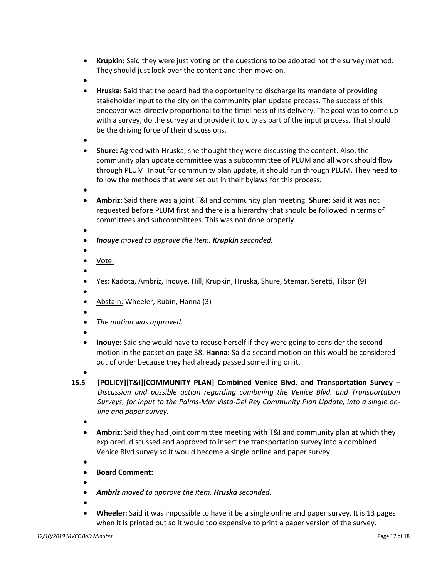- **Krupkin:** Said they were just voting on the questions to be adopted not the survey method. They should just look over the content and then move on.
- •
- **Hruska:** Said that the board had the opportunity to discharge its mandate of providing stakeholder input to the city on the community plan update process. The success of this endeavor was directly proportional to the timeliness of its delivery. The goal was to come up with a survey, do the survey and provide it to city as part of the input process. That should be the driving force of their discussions.
- •
- **Shure:** Agreed with Hruska, she thought they were discussing the content. Also, the community plan update committee was a subcommittee of PLUM and all work should flow through PLUM. Input for community plan update, it should run through PLUM. They need to follow the methods that were set out in their bylaws for this process.
- •
- **Ambriz:** Said there was a joint T&I and community plan meeting. **Shure:** Said it was not requested before PLUM first and there is a hierarchy that should be followed in terms of committees and subcommittees. This was not done properly.
- •
- *Inouye moved to approve the item. Krupkin seconded.*
- • Vote:
- •
- Yes: Kadota, Ambriz, Inouye, Hill, Krupkin, Hruska, Shure, Stemar, Seretti, Tilson (9)
- •
- Abstain: Wheeler, Rubin, Hanna (3)
- • *The motion was approved.*
- •
- **Inouye:** Said she would have to recuse herself if they were going to consider the second motion in the packet on page 38. **Hanna:** Said a second motion on this would be considered out of order because they had already passed something on it.
- •
- **15.5 [POLICY][T&I][COMMUNITY PLAN] Combined Venice Blvd. and Transportation Survey**  *Discussion and possible action regarding combining the Venice Blvd. and Transportation Surveys, for input to the Palms-Mar Vista-Del Rey Community Plan Update, into a single online and paper survey.*
	- •
	- **Ambriz:** Said they had joint committee meeting with T&I and community plan at which they explored, discussed and approved to insert the transportation survey into a combined Venice Blvd survey so it would become a single online and paper survey.
	- •
	- **Board Comment:**
	- •
	- *Ambriz moved to approve the item. Hruska seconded.*
	- •
	- **Wheeler:** Said it was impossible to have it be a single online and paper survey. It is 13 pages when it is printed out so it would too expensive to print a paper version of the survey.